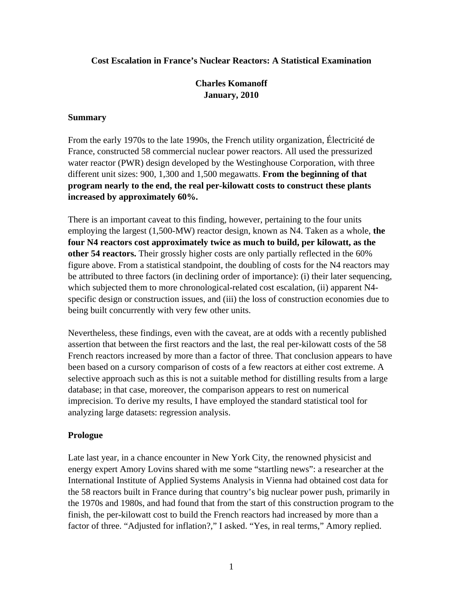#### **Cost Escalation in France's Nuclear Reactors: A Statistical Examination**

# **Charles Komanoff January, 2010**

#### **Summary**

From the early 1970s to the late 1990s, the French utility organization, Électricité de France, constructed 58 commercial nuclear power reactors. All used the pressurized water reactor (PWR) design developed by the Westinghouse Corporation, with three different unit sizes: 900, 1,300 and 1,500 megawatts. **From the beginning of that program nearly to the end, the real per-kilowatt costs to construct these plants increased by approximately 60%.** 

There is an important caveat to this finding, however, pertaining to the four units employing the largest (1,500-MW) reactor design, known as N4. Taken as a whole, **the four N4 reactors cost approximately twice as much to build, per kilowatt, as the other 54 reactors.** Their grossly higher costs are only partially reflected in the 60% figure above. From a statistical standpoint, the doubling of costs for the N4 reactors may be attributed to three factors (in declining order of importance): (i) their later sequencing, which subjected them to more chronological-related cost escalation, (ii) apparent N4specific design or construction issues, and (iii) the loss of construction economies due to being built concurrently with very few other units.

Nevertheless, these findings, even with the caveat, are at odds with a recently published assertion that between the first reactors and the last, the real per-kilowatt costs of the 58 French reactors increased by more than a factor of three. That conclusion appears to have been based on a cursory comparison of costs of a few reactors at either cost extreme. A selective approach such as this is not a suitable method for distilling results from a large database; in that case, moreover, the comparison appears to rest on numerical imprecision. To derive my results, I have employed the standard statistical tool for analyzing large datasets: regression analysis.

### **Prologue**

Late last year, in a chance encounter in New York City, the renowned physicist and energy expert Amory Lovins shared with me some "startling news": a researcher at the International Institute of Applied Systems Analysis in Vienna had obtained cost data for the 58 reactors built in France during that country's big nuclear power push, primarily in the 1970s and 1980s, and had found that from the start of this construction program to the finish, the per-kilowatt cost to build the French reactors had increased by more than a factor of three. "Adjusted for inflation?," I asked. "Yes, in real terms," Amory replied.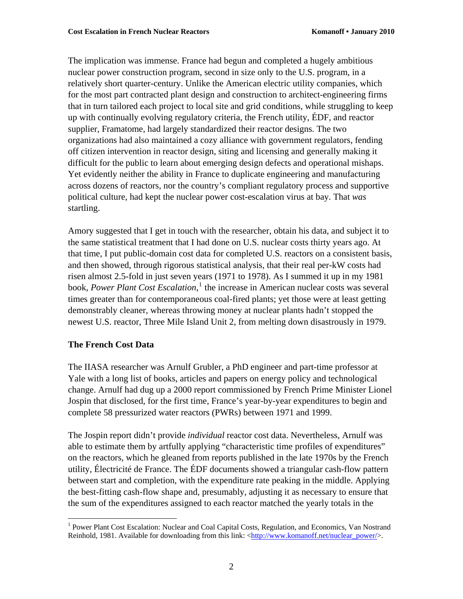The implication was immense. France had begun and completed a hugely ambitious nuclear power construction program, second in size only to the U.S. program, in a relatively short quarter-century. Unlike the American electric utility companies, which for the most part contracted plant design and construction to architect-engineering firms that in turn tailored each project to local site and grid conditions, while struggling to keep up with continually evolving regulatory criteria, the French utility, ÉDF, and reactor supplier, Framatome, had largely standardized their reactor designs. The two organizations had also maintained a cozy alliance with government regulators, fending off citizen intervention in reactor design, siting and licensing and generally making it difficult for the public to learn about emerging design defects and operational mishaps. Yet evidently neither the ability in France to duplicate engineering and manufacturing across dozens of reactors, nor the country's compliant regulatory process and supportive political culture, had kept the nuclear power cost-escalation virus at bay. That *was* startling.

Amory suggested that I get in touch with the researcher, obtain his data, and subject it to the same statistical treatment that I had done on U.S. nuclear costs thirty years ago. At that time, I put public-domain cost data for completed U.S. reactors on a consistent basis, and then showed, through rigorous statistical analysis, that their real per-kW costs had risen almost 2.5-fold in just seven years (1971 to 1978). As I summed it up in my 1981 book, *Power Plant Cost Escalation*, [1](#page-1-0) the increase in American nuclear costs was several times greater than for contemporaneous coal-fired plants; yet those were at least getting demonstrably cleaner, whereas throwing money at nuclear plants hadn't stopped the newest U.S. reactor, Three Mile Island Unit 2, from melting down disastrously in 1979.

### **The French Cost Data**

1

The IIASA researcher was Arnulf Grubler, a PhD engineer and part-time professor at Yale with a long list of books, articles and papers on energy policy and technological change. Arnulf had dug up a 2000 report commissioned by French Prime Minister Lionel Jospin that disclosed, for the first time, France's year-by-year expenditures to begin and complete 58 pressurized water reactors (PWRs) between 1971 and 1999.

The Jospin report didn't provide *individual* reactor cost data. Nevertheless, Arnulf was able to estimate them by artfully applying "characteristic time profiles of expenditures" on the reactors, which he gleaned from reports published in the late 1970s by the French utility, Électricité de France. The ÉDF documents showed a triangular cash-flow pattern between start and completion, with the expenditure rate peaking in the middle. Applying the best-fitting cash-flow shape and, presumably, adjusting it as necessary to ensure that the sum of the expenditures assigned to each reactor matched the yearly totals in the

<span id="page-1-0"></span><sup>&</sup>lt;sup>1</sup> Power Plant Cost Escalation: Nuclear and Coal Capital Costs, Regulation, and Economics, Van Nostrand Reinhold, 1981. Available for downloading from this link: [<http://www.komanoff.net/nuclear\\_power/>](http://www.komanoff.net/nuclear_power/).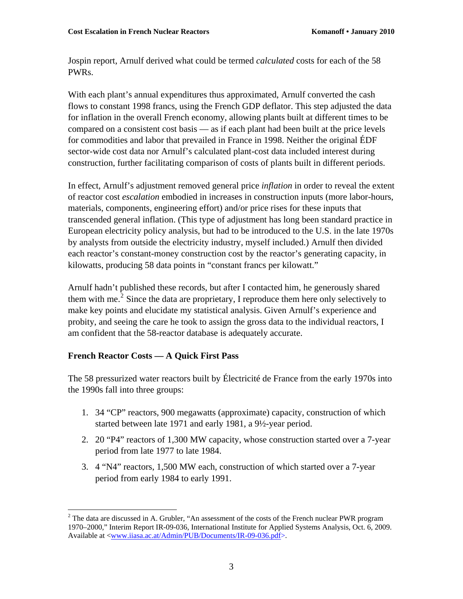Jospin report, Arnulf derived what could be termed *calculated* costs for each of the 58 PWRs.

With each plant's annual expenditures thus approximated, Arnulf converted the cash flows to constant 1998 francs, using the French GDP deflator. This step adjusted the data for inflation in the overall French economy, allowing plants built at different times to be compared on a consistent cost basis — as if each plant had been built at the price levels for commodities and labor that prevailed in France in 1998. Neither the original ÉDF sector-wide cost data nor Arnulf's calculated plant-cost data included interest during construction, further facilitating comparison of costs of plants built in different periods.

In effect, Arnulf's adjustment removed general price *inflation* in order to reveal the extent of reactor cost *escalation* embodied in increases in construction inputs (more labor-hours, materials, components, engineering effort) and/or price rises for these inputs that transcended general inflation. (This type of adjustment has long been standard practice in European electricity policy analysis, but had to be introduced to the U.S. in the late 1970s by analysts from outside the electricity industry, myself included.) Arnulf then divided each reactor's constant-money construction cost by the reactor's generating capacity, in kilowatts, producing 58 data points in "constant francs per kilowatt."

Arnulf hadn't published these records, but after I contacted him, he generously shared them with me.<sup>[2](#page-2-0)</sup> Since the data are proprietary, I reproduce them here only selectively to make key points and elucidate my statistical analysis. Given Arnulf's experience and probity, and seeing the care he took to assign the gross data to the individual reactors, I am confident that the 58-reactor database is adequately accurate.

# **French Reactor Costs — A Quick First Pass**

The 58 pressurized water reactors built by Électricité de France from the early 1970s into the 1990s fall into three groups:

- 1. 34 "CP" reactors, 900 megawatts (approximate) capacity, construction of which started between late 1971 and early 1981, a 9½-year period.
- 2. 20 "P4" reactors of 1,300 MW capacity, whose construction started over a 7-year period from late 1977 to late 1984.
- 3. 4 "N4" reactors, 1,500 MW each, construction of which started over a 7-year period from early 1984 to early 1991.

<span id="page-2-0"></span> $\overline{a}$  $2^2$  The data are discussed in A. Grubler, "An assessment of the costs of the French nuclear PWR program 1970–2000," Interim Report IR-09-036, International Institute for Applied Systems Analysis, Oct. 6, 2009. Available at <[www.iiasa.ac.at/Admin/PUB/Documents/IR-09-036.pdf>](http://www.iiasa.ac.at/Admin/PUB/Documents/IR-09-036.pdf).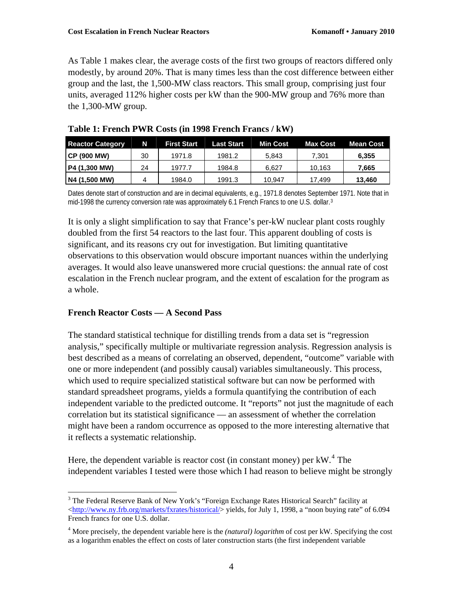As Table 1 makes clear, the average costs of the first two groups of reactors differed only modestly, by around 20%. That is many times less than the cost difference between either group and the last, the 1,500-MW class reactors. This small group, comprising just four units, averaged 112% higher costs per kW than the 900-MW group and 76% more than the 1,300-MW group.

| <b>Reactor Category</b> | N  | <b>First Start</b> | <b>Last Start</b> | <b>Min Cost</b> | <b>Max Cost</b> | <b>Mean Cost</b> |
|-------------------------|----|--------------------|-------------------|-----------------|-----------------|------------------|
| CP (900 MW)             | 30 | 1971.8             | 1981.2            | 5,843           | 7.301           | 6,355            |
| P4 (1,300 MW)           | 24 | 1977.7             | 1984.8            | 6.627           | 10.163          | 7.665            |
| N4 (1,500 MW)           |    | 1984.0             | 1991.3            | 10,947          | 17.499          | 13,460           |

**Table 1: French PWR Costs (in 1998 French Francs / kW)** 

Dates denote start of construction and are in decimal equivalents, e.g., 1971.8 denotes Septem[be](#page-3-0)r 1971. Note that in mid-1998 the currency conversion rate was approximately 6.1 French Francs to one U.S. dollar.<sup>[3](#page-3-0)</sup>

It is only a slight simplification to say that France's per-kW nuclear plant costs roughly doubled from the first 54 reactors to the last four. This apparent doubling of costs is significant, and its reasons cry out for investigation. But limiting quantitative observations to this observation would obscure important nuances within the underlying averages. It would also leave unanswered more crucial questions: the annual rate of cost escalation in the French nuclear program, and the extent of escalation for the program as a whole.

# **French Reactor Costs — A Second Pass**

The standard statistical technique for distilling trends from a data set is "regression analysis," specifically multiple or multivariate regression analysis. Regression analysis is best described as a means of correlating an observed, dependent, "outcome" variable with one or more independent (and possibly causal) variables simultaneously. This process, which used to require specialized statistical software but can now be performed with standard spreadsheet programs, yields a formula quantifying the contribution of each independent variable to the predicted outcome. It "reports" not just the magnitude of each correlation but its statistical significance — an assessment of whether the correlation might have been a random occurrence as opposed to the more interesting alternative that it reflects a systematic relationship.

Here, the dependent variable is reactor cost (in constant money) per  $kW$ .<sup>[4](#page-3-1)</sup> The independent variables I tested were those which I had reason to believe might be strongly

<span id="page-3-0"></span> $\overline{a}$ <sup>3</sup> The Federal Reserve Bank of New York's "Foreign Exchange Rates Historical Search" facility at  $\langle \frac{http://www.ny.frb.org/markets/fxrates/historical/}{http://www.ny.frb.org/markets/fxrates/historical/}$  yields, for July 1, 1998, a "noon buying rate" of 6.094 French francs for one U.S. dollar.

<span id="page-3-1"></span><sup>4</sup> More precisely, the dependent variable here is the *(natural) logarithm* of cost per kW. Specifying the cost as a logarithm enables the effect on costs of later construction starts (the first independent variable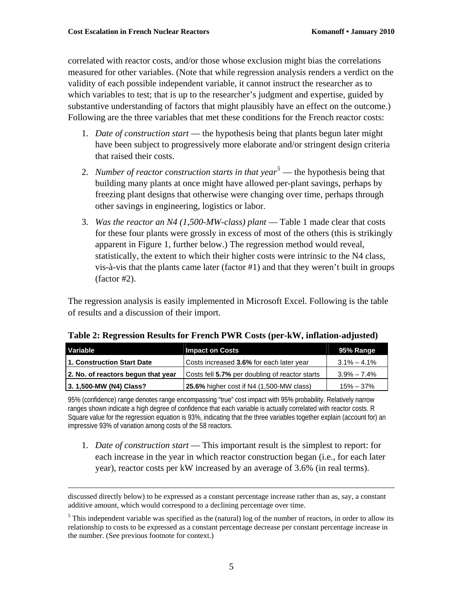correlated with reactor costs, and/or those whose exclusion might bias the correlations measured for other variables. (Note that while regression analysis renders a verdict on the validity of each possible independent variable, it cannot instruct the researcher as to which variables to test; that is up to the researcher's judgment and expertise, guided by substantive understanding of factors that might plausibly have an effect on the outcome.) Following are the three variables that met these conditions for the French reactor costs:

- 1. *Date of construction start* the hypothesis being that plants begun later might have been subject to progressively more elaborate and/or stringent design criteria that raised their costs.
- 2. *Number of reactor construction starts in that year[5](#page-4-0)* the hypothesis being that building many plants at once might have allowed per-plant savings, perhaps by freezing plant designs that otherwise were changing over time, perhaps through other savings in engineering, logistics or labor.
- 3. *Was the reactor an N4 (1,500-MW-class) plant*  Table 1 made clear that costs for these four plants were grossly in excess of most of the others (this is strikingly apparent in Figure 1, further below.) The regression method would reveal, statistically, the extent to which their higher costs were intrinsic to the N4 class, vis-à-vis that the plants came later (factor #1) and that they weren't built in groups (factor #2).

The regression analysis is easily implemented in Microsoft Excel. Following is the table of results and a discussion of their import.

| Variable                           | <b>Impact on Costs</b>                         | 95% Range       |
|------------------------------------|------------------------------------------------|-----------------|
| 1. Construction Start Date         | Costs increased 3.6% for each later year       | $3.1\% - 4.1\%$ |
| 2. No. of reactors begun that year | Costs fell 5.7% per doubling of reactor starts | $3.9\% - 7.4\%$ |
| 3. 1,500-MW (N4) Class?            | 25.6% higher cost if N4 (1,500-MW class)       | $15\% - 37\%$   |

**Table 2: Regression Results for French PWR Costs (per-kW, inflation-adjusted)**

95% (confidence) range denotes range encompassing "true" cost impact with 95% probability. Relatively narrow ranges shown indicate a high degree of confidence that each variable is actually correlated with reactor costs. R Square value for the regression equation is 93%, indicating that the three variables together explain (account for) an impressive 93% of variation among costs of the 58 reactors.

1. *Date of construction start* — This important result is the simplest to report: for each increase in the year in which reactor construction began (i.e., for each later year), reactor costs per kW increased by an average of 3.6% (in real terms).

 discussed directly below) to be expressed as a constant percentage increase rather than as, say, a constant additive amount, which would correspond to a declining percentage over time.

<span id="page-4-0"></span> $<sup>5</sup>$  This independent variable was specified as the (natural) log of the number of reactors, in order to allow its</sup> relationship to costs to be expressed as a constant percentage decrease per constant percentage increase in the number. (See previous footnote for context.)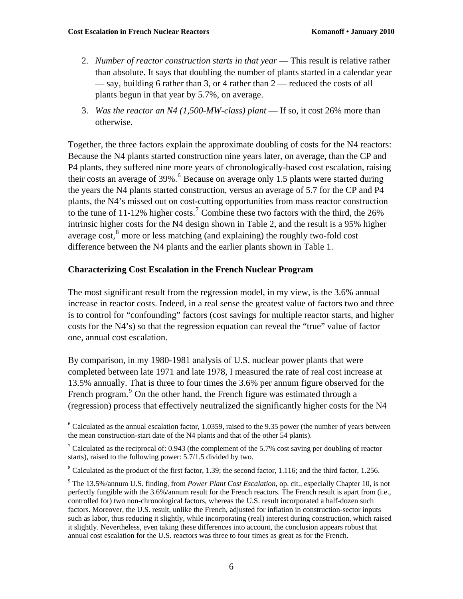$\overline{a}$ 

- 2. *Number of reactor construction starts in that year* This result is relative rather than absolute. It says that doubling the number of plants started in a calendar year — say, building 6 rather than 3, or 4 rather than 2 — reduced the costs of all plants begun in that year by 5.7%, on average.
- 3. *Was the reactor an N4 (1,500-MW-class) plant*  If so, it cost 26% more than otherwise.

Together, the three factors explain the approximate doubling of costs for the N4 reactors: Because the N4 plants started construction nine years later, on average, than the CP and P4 plants, they suffered nine more years of chronologically-based cost escalation, raising their costs an average of  $39\%$ .<sup>[6](#page-5-0)</sup> Because on average only 1.5 plants were started during the years the N4 plants started construction, versus an average of 5.7 for the CP and P4 plants, the N4's missed out on cost-cutting opportunities from mass reactor construction to the tune of 11-12% higher costs.<sup>[7](#page-5-1)</sup> Combine these two factors with the third, the  $26\%$ intrinsic higher costs for the N4 design shown in Table 2, and the result is a 95% higher average cost, ${}^{8}$  ${}^{8}$  ${}^{8}$  more or less matching (and explaining) the roughly two-fold cost difference between the N4 plants and the earlier plants shown in Table 1.

#### **Characterizing Cost Escalation in the French Nuclear Program**

The most significant result from the regression model, in my view, is the 3.6% annual increase in reactor costs. Indeed, in a real sense the greatest value of factors two and three is to control for "confounding" factors (cost savings for multiple reactor starts, and higher costs for the N4's) so that the regression equation can reveal the "true" value of factor one, annual cost escalation.

By comparison, in my 1980-1981 analysis of U.S. nuclear power plants that were completed between late 1971 and late 1978, I measured the rate of real cost increase at 13.5% annually. That is three to four times the 3.6% per annum figure observed for the French program.<sup>[9](#page-5-3)</sup> On the other hand, the French figure was estimated through a (regression) process that effectively neutralized the significantly higher costs for the N4

<span id="page-5-0"></span> $6$  Calculated as the annual escalation factor, 1.0359, raised to the 9.35 power (the number of years between the mean construction-start date of the N4 plants and that of the other 54 plants).

<span id="page-5-1"></span><sup>&</sup>lt;sup>7</sup> Calculated as the reciprocal of: 0.943 (the complement of the 5.7% cost saving per doubling of reactor starts), raised to the following power: 5.7/1.5 divided by two.

<span id="page-5-2"></span> $8$  Calculated as the product of the first factor, 1.39; the second factor, 1.116; and the third factor, 1.256.

<span id="page-5-3"></span><sup>&</sup>lt;sup>9</sup> The 13.5%/annum U.S. finding, from *Power Plant Cost Escalation*, <u>op. cit.,</u> especially Chapter 10, is not perfectly fungible with the 3.6%/annum result for the French reactors. The French result is apart from (i.e., controlled for) two non-chronological factors, whereas the U.S. result incorporated a half-dozen such factors. Moreover, the U.S. result, unlike the French, adjusted for inflation in construction-sector inputs such as labor, thus reducing it slightly, while incorporating (real) interest during construction, which raised it slightly. Nevertheless, even taking these differences into account, the conclusion appears robust that annual cost escalation for the U.S. reactors was three to four times as great as for the French.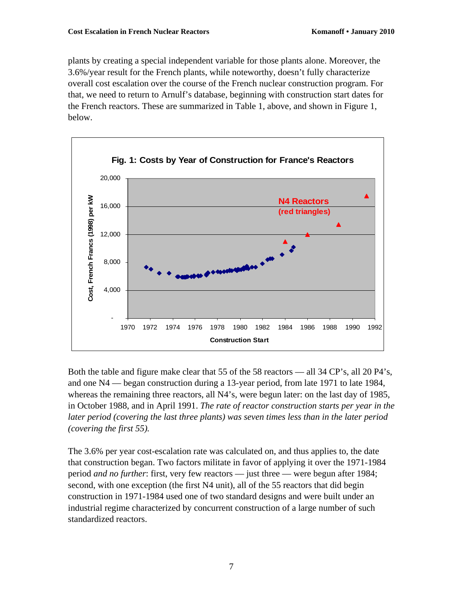plants by creating a special independent variable for those plants alone. Moreover, the 3.6%/year result for the French plants, while noteworthy, doesn't fully characterize overall cost escalation over the course of the French nuclear construction program. For that, we need to return to Arnulf's database, beginning with construction start dates for the French reactors. These are summarized in Table 1, above, and shown in Figure 1, below.



Both the table and figure make clear that 55 of the 58 reactors — all 34 CP's, all 20 P4's, and one N4 — began construction during a 13-year period, from late 1971 to late 1984, whereas the remaining three reactors, all N4's, were begun later: on the last day of 1985, in October 1988, and in April 1991. *The rate of reactor construction starts per year in the later period (covering the last three plants) was seven times less than in the later period (covering the first 55).* 

The 3.6% per year cost-escalation rate was calculated on, and thus applies to, the date that construction began. Two factors militate in favor of applying it over the 1971-1984 period *and no further*: first, very few reactors — just three — were begun after 1984; second, with one exception (the first N4 unit), all of the 55 reactors that did begin construction in 1971-1984 used one of two standard designs and were built under an industrial regime characterized by concurrent construction of a large number of such standardized reactors.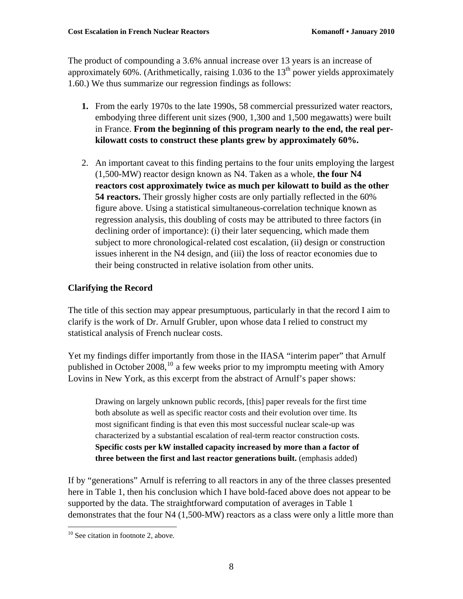The product of compounding a 3.6% annual increase over 13 years is an increase of approximately 60%. (Arithmetically, raising 1.036 to the  $13<sup>th</sup>$  power yields approximately 1.60.) We thus summarize our regression findings as follows:

- **1.** From the early 1970s to the late 1990s, 58 commercial pressurized water reactors, embodying three different unit sizes (900, 1,300 and 1,500 megawatts) were built in France. **From the beginning of this program nearly to the end, the real perkilowatt costs to construct these plants grew by approximately 60%.**
- 2. An important caveat to this finding pertains to the four units employing the largest (1,500-MW) reactor design known as N4. Taken as a whole, **the four N4 reactors cost approximately twice as much per kilowatt to build as the other 54 reactors.** Their grossly higher costs are only partially reflected in the 60% figure above. Using a statistical simultaneous-correlation technique known as regression analysis, this doubling of costs may be attributed to three factors (in declining order of importance): (i) their later sequencing, which made them subject to more chronological-related cost escalation, (ii) design or construction issues inherent in the N4 design, and (iii) the loss of reactor economies due to their being constructed in relative isolation from other units.

# **Clarifying the Record**

The title of this section may appear presumptuous, particularly in that the record I aim to clarify is the work of Dr. Arnulf Grubler, upon whose data I relied to construct my statistical analysis of French nuclear costs.

Yet my findings differ importantly from those in the IIASA "interim paper" that Arnulf published in October 2008,  $^{10}$  $^{10}$  $^{10}$  a few weeks prior to my impromptu meeting with Amory Lovins in New York, as this excerpt from the abstract of Arnulf's paper shows:

Drawing on largely unknown public records, [this] paper reveals for the first time both absolute as well as specific reactor costs and their evolution over time. Its most significant finding is that even this most successful nuclear scale-up was characterized by a substantial escalation of real-term reactor construction costs. **Specific costs per kW installed capacity increased by more than a factor of three between the first and last reactor generations built.** (emphasis added)

If by "generations" Arnulf is referring to all reactors in any of the three classes presented here in Table 1, then his conclusion which I have bold-faced above does not appear to be supported by the data. The straightforward computation of averages in Table 1 demonstrates that the four N4 (1,500-MW) reactors as a class were only a little more than

 $\overline{a}$ 

<span id="page-7-0"></span> $10$  See citation in footnote 2, above.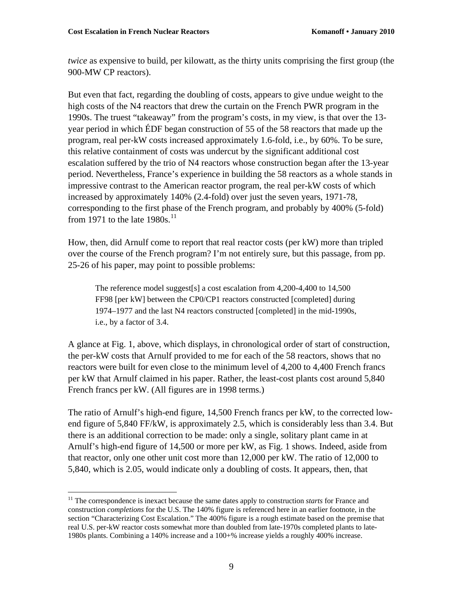$\overline{a}$ 

*twice* as expensive to build, per kilowatt, as the thirty units comprising the first group (the 900-MW CP reactors).

But even that fact, regarding the doubling of costs, appears to give undue weight to the high costs of the N4 reactors that drew the curtain on the French PWR program in the 1990s. The truest "takeaway" from the program's costs, in my view, is that over the 13 year period in which ÉDF began construction of 55 of the 58 reactors that made up the program, real per-kW costs increased approximately 1.6-fold, i.e., by 60%. To be sure, this relative containment of costs was undercut by the significant additional cost escalation suffered by the trio of N4 reactors whose construction began after the 13-year period. Nevertheless, France's experience in building the 58 reactors as a whole stands in impressive contrast to the American reactor program, the real per-kW costs of which increased by approximately 140% (2.4-fold) over just the seven years, 1971-78, corresponding to the first phase of the French program, and probably by 400% (5-fold) from 1971 to the late  $1980s$ .<sup>[11](#page-8-0)</sup>

How, then, did Arnulf come to report that real reactor costs (per kW) more than tripled over the course of the French program? I'm not entirely sure, but this passage, from pp. 25-26 of his paper, may point to possible problems:

The reference model suggest[s] a cost escalation from 4,200-4,400 to 14,500 FF98 [per kW] between the CP0/CP1 reactors constructed [completed] during 1974–1977 and the last N4 reactors constructed [completed] in the mid-1990s, i.e., by a factor of 3.4.

A glance at Fig. 1, above, which displays, in chronological order of start of construction, the per-kW costs that Arnulf provided to me for each of the 58 reactors, shows that no reactors were built for even close to the minimum level of 4,200 to 4,400 French francs per kW that Arnulf claimed in his paper. Rather, the least-cost plants cost around 5,840 French francs per kW. (All figures are in 1998 terms.)

The ratio of Arnulf's high-end figure, 14,500 French francs per kW, to the corrected lowend figure of 5,840 FF/kW, is approximately 2.5, which is considerably less than 3.4. But there is an additional correction to be made: only a single, solitary plant came in at Arnulf's high-end figure of 14,500 or more per kW, as Fig. 1 shows. Indeed, aside from that reactor, only one other unit cost more than 12,000 per kW. The ratio of 12,000 to 5,840, which is 2.05, would indicate only a doubling of costs. It appears, then, that

<span id="page-8-0"></span><sup>&</sup>lt;sup>11</sup> The correspondence is inexact because the same dates apply to construction *starts* for France and construction *completions* for the U.S. The 140% figure is referenced here in an earlier footnote, in the section "Characterizing Cost Escalation." The 400% figure is a rough estimate based on the premise that real U.S. per-kW reactor costs somewhat more than doubled from late-1970s completed plants to late-1980s plants. Combining a 140% increase and a 100+% increase yields a roughly 400% increase.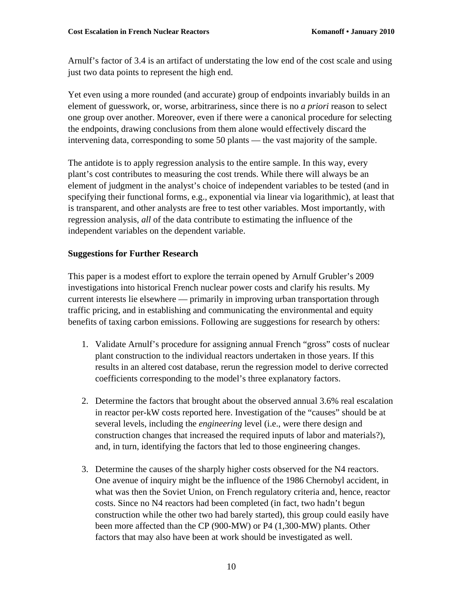Arnulf's factor of 3.4 is an artifact of understating the low end of the cost scale and using just two data points to represent the high end.

Yet even using a more rounded (and accurate) group of endpoints invariably builds in an element of guesswork, or, worse, arbitrariness, since there is no *a priori* reason to select one group over another. Moreover, even if there were a canonical procedure for selecting the endpoints, drawing conclusions from them alone would effectively discard the intervening data, corresponding to some 50 plants — the vast majority of the sample.

The antidote is to apply regression analysis to the entire sample. In this way, every plant's cost contributes to measuring the cost trends. While there will always be an element of judgment in the analyst's choice of independent variables to be tested (and in specifying their functional forms, e.g., exponential via linear via logarithmic), at least that is transparent, and other analysts are free to test other variables. Most importantly, with regression analysis, *all* of the data contribute to estimating the influence of the independent variables on the dependent variable.

### **Suggestions for Further Research**

This paper is a modest effort to explore the terrain opened by Arnulf Grubler's 2009 investigations into historical French nuclear power costs and clarify his results. My current interests lie elsewhere — primarily in improving urban transportation through traffic pricing, and in establishing and communicating the environmental and equity benefits of taxing carbon emissions. Following are suggestions for research by others:

- 1. Validate Arnulf's procedure for assigning annual French "gross" costs of nuclear plant construction to the individual reactors undertaken in those years. If this results in an altered cost database, rerun the regression model to derive corrected coefficients corresponding to the model's three explanatory factors.
- 2. Determine the factors that brought about the observed annual 3.6% real escalation in reactor per-kW costs reported here. Investigation of the "causes" should be at several levels, including the *engineering* level (i.e., were there design and construction changes that increased the required inputs of labor and materials?), and, in turn, identifying the factors that led to those engineering changes.
- 3. Determine the causes of the sharply higher costs observed for the N4 reactors. One avenue of inquiry might be the influence of the 1986 Chernobyl accident, in what was then the Soviet Union, on French regulatory criteria and, hence, reactor costs. Since no N4 reactors had been completed (in fact, two hadn't begun construction while the other two had barely started), this group could easily have been more affected than the CP (900-MW) or P4 (1,300-MW) plants. Other factors that may also have been at work should be investigated as well.